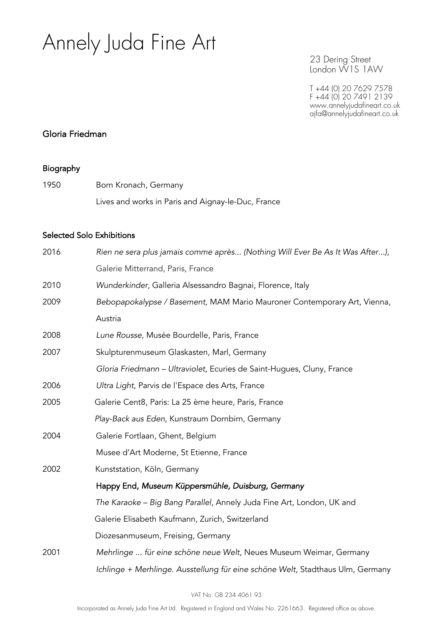23 Dering Street London W1S 1AW

T +44 (0) 20 7629 7578 F +44 (0) 20 7491 2139 www.annelyjudafineart.co.uk ajfa@annelyjudafineart.co.uk

#### Gloria Friedman

#### Biography

1950 Born Kronach, Germany Lives and works in Paris and Aignay-le-Duc, France

#### Selected Solo Exhibitions

| 2016 | Rien ne sera plus jamais comme après (Nothing Will Ever Be As It Was After),   |
|------|--------------------------------------------------------------------------------|
|      | Galerie Mitterrand, Paris, France                                              |
| 2010 | Wunderkinder, Galleria Alsessandro Bagnai, Florence, Italy                     |
| 2009 | Bebopapokalypse / Basement, MAM Mario Mauroner Contemporary Art, Vienna,       |
|      | Austria                                                                        |
| 2008 | Lune Rousse, Musée Bourdelle, Paris, France                                    |
| 2007 | Skulpturenmuseum Glaskasten, Marl, Germany                                     |
|      | Gloria Friedmann - Ultraviolet, Ecuries de Saint-Hugues, Cluny, France         |
| 2006 | Ultra Light, Parvis de l'Espace des Arts, France                               |
| 2005 | Galerie Cent8, Paris: La 25 ème heure, Paris, France                           |
|      | Play-Back aus Eden, Kunstraum Dornbirn, Germany                                |
| 2004 | Galerie Fortlaan, Ghent, Belgium                                               |
|      | Musee d'Art Moderne, St Etienne, France                                        |
| 2002 | Kunststation, Köln, Germany                                                    |
|      | Happy End, Museum Küppersmühle, Duisburg, Germany                              |
|      | The Karaoke - Big Bang Parallel, Annely Juda Fine Art, London, UK and          |
|      | Galerie Elisabeth Kaufmann, Zurich, Switzerland                                |
|      | Diozesanmuseum, Freising, Germany                                              |
| 2001 | Mehrlinge  für eine schöne neue Welt, Neues Museum Weimar, Germany             |
|      | Ichlinge + Merhlinge. Ausstellung für eine schöne Welt, Stadthaus Ulm, Germany |
|      |                                                                                |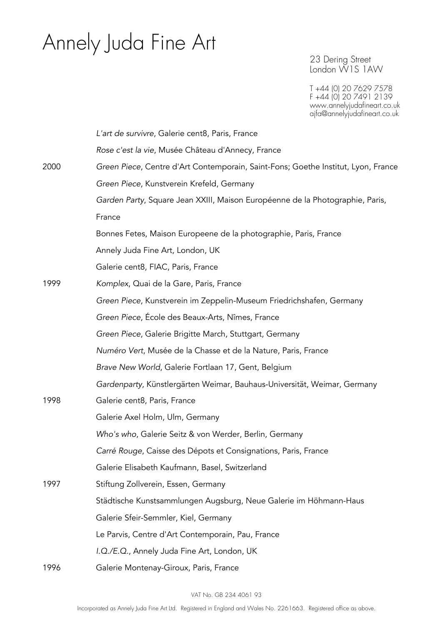23 Dering Street London W1S 1AW

|      | L'art de survivre, Galerie cent8, Paris, France                                   |
|------|-----------------------------------------------------------------------------------|
|      | Rose c'est la vie, Musée Château d'Annecy, France                                 |
| 2000 | Green Piece, Centre d'Art Contemporain, Saint-Fons; Goethe Institut, Lyon, France |
|      | Green Piece, Kunstverein Krefeld, Germany                                         |
|      | Garden Party, Square Jean XXIII, Maison Européenne de la Photographie, Paris,     |
|      | France                                                                            |
|      | Bonnes Fetes, Maison Europeene de la photographie, Paris, France                  |
|      | Annely Juda Fine Art, London, UK                                                  |
|      | Galerie cent8, FIAC, Paris, France                                                |
| 1999 | Komplex, Quai de la Gare, Paris, France                                           |
|      | Green Piece, Kunstverein im Zeppelin-Museum Friedrichshafen, Germany              |
|      | Green Piece, École des Beaux-Arts, Nîmes, France                                  |
|      | Green Piece, Galerie Brigitte March, Stuttgart, Germany                           |
|      | Numéro Vert, Musée de la Chasse et de la Nature, Paris, France                    |
|      | Brave New World, Galerie Fortlaan 17, Gent, Belgium                               |
|      | Gardenparty, Künstlergärten Weimar, Bauhaus-Universität, Weimar, Germany          |
| 1998 | Galerie cent8, Paris, France                                                      |
|      | Galerie Axel Holm, Ulm, Germany                                                   |
|      | Who's who, Galerie Seitz & von Werder, Berlin, Germany                            |
|      | Carré Rouge, Caisse des Dépots et Consignations, Paris, France                    |
|      | Galerie Elisabeth Kaufmann, Basel, Switzerland                                    |
| 1997 | Stiftung Zollverein, Essen, Germany                                               |
|      | Städtische Kunstsammlungen Augsburg, Neue Galerie im Höhmann-Haus                 |
|      | Galerie Sfeir-Semmler, Kiel, Germany                                              |
|      | Le Parvis, Centre d'Art Contemporain, Pau, France                                 |
|      | I.Q./E.Q., Annely Juda Fine Art, London, UK                                       |
| 1996 | Galerie Montenay-Giroux, Paris, France                                            |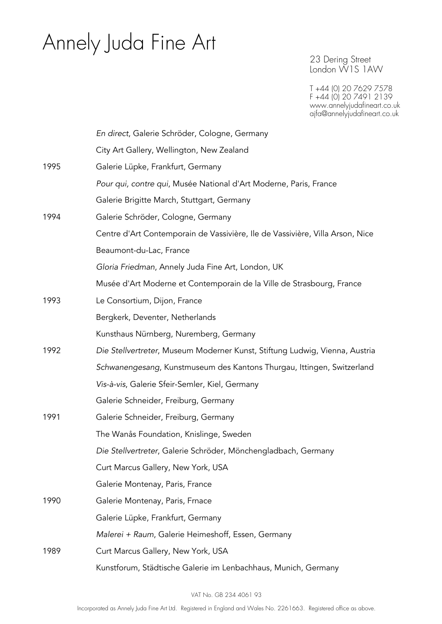23 Dering Street London W1S 1AW

|      | En direct, Galerie Schröder, Cologne, Germany                                 |
|------|-------------------------------------------------------------------------------|
|      | City Art Gallery, Wellington, New Zealand                                     |
| 1995 | Galerie Lüpke, Frankfurt, Germany                                             |
|      | Pour qui, contre qui, Musée National d'Art Moderne, Paris, France             |
|      | Galerie Brigitte March, Stuttgart, Germany                                    |
| 1994 | Galerie Schröder, Cologne, Germany                                            |
|      | Centre d'Art Contemporain de Vassivière, Ile de Vassivière, Villa Arson, Nice |
|      | Beaumont-du-Lac, France                                                       |
|      | Gloria Friedman, Annely Juda Fine Art, London, UK                             |
|      | Musée d'Art Moderne et Contemporain de la Ville de Strasbourg, France         |
| 1993 | Le Consortium, Dijon, France                                                  |
|      | Bergkerk, Deventer, Netherlands                                               |
|      | Kunsthaus Nürnberg, Nuremberg, Germany                                        |
| 1992 | Die Stellvertreter, Museum Moderner Kunst, Stiftung Ludwig, Vienna, Austria   |
|      | Schwanengesang, Kunstmuseum des Kantons Thurgau, Ittingen, Switzerland        |
|      | Vis-à-vis, Galerie Sfeir-Semler, Kiel, Germany                                |
|      | Galerie Schneider, Freiburg, Germany                                          |
| 1991 | Galerie Schneider, Freiburg, Germany                                          |
|      | The Wanås Foundation, Knislinge, Sweden                                       |
|      | Die Stellvertreter, Galerie Schröder, Mönchengladbach, Germany                |
|      | Curt Marcus Gallery, New York, USA                                            |
|      | Galerie Montenay, Paris, France                                               |
| 1990 | Galerie Montenay, Paris, Frnace                                               |
|      | Galerie Lüpke, Frankfurt, Germany                                             |
|      | Malerei + Raum, Galerie Heimeshoff, Essen, Germany                            |
| 1989 | Curt Marcus Gallery, New York, USA                                            |
|      | Kunstforum, Städtische Galerie im Lenbachhaus, Munich, Germany                |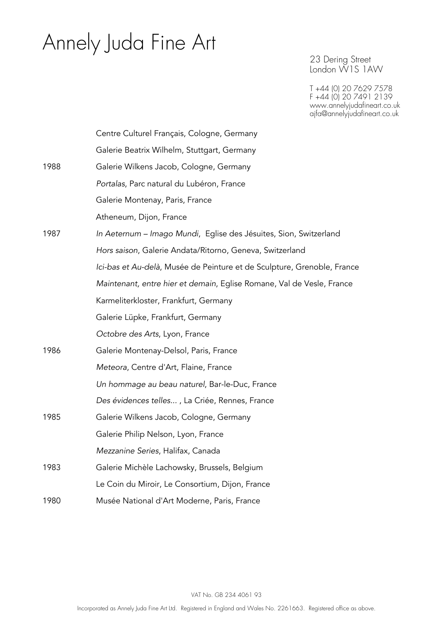23 Dering Street London W1S 1AW

|      | Centre Culturel Français, Cologne, Germany                              |
|------|-------------------------------------------------------------------------|
|      | Galerie Beatrix Wilhelm, Stuttgart, Germany                             |
| 1988 | Galerie Wilkens Jacob, Cologne, Germany                                 |
|      | Portalas, Parc natural du Lubéron, France                               |
|      | Galerie Montenay, Paris, France                                         |
|      | Atheneum, Dijon, France                                                 |
| 1987 | In Aeternum – Imago Mundi, Eglise des Jésuites, Sion, Switzerland       |
|      | Hors saison, Galerie Andata/Ritorno, Geneva, Switzerland                |
|      | Ici-bas et Au-delà, Musée de Peinture et de Sculpture, Grenoble, France |
|      | Maintenant, entre hier et demain, Eglise Romane, Val de Vesle, France   |
|      | Karmeliterkloster, Frankfurt, Germany                                   |
|      | Galerie Lüpke, Frankfurt, Germany                                       |
|      | Octobre des Arts, Lyon, France                                          |
| 1986 | Galerie Montenay-Delsol, Paris, France                                  |
|      | Meteora, Centre d'Art, Flaine, France                                   |
|      | Un hommage au beau naturel, Bar-le-Duc, France                          |
|      | Des évidences telles, La Criée, Rennes, France                          |
| 1985 | Galerie Wilkens Jacob, Cologne, Germany                                 |
|      | Galerie Philip Nelson, Lyon, France                                     |
|      | Mezzanine Series, Halifax, Canada                                       |
| 1983 | Galerie Michèle Lachowsky, Brussels, Belgium                            |
|      | Le Coin du Miroir, Le Consortium, Dijon, France                         |
| 1980 | Musée National d'Art Moderne, Paris, France                             |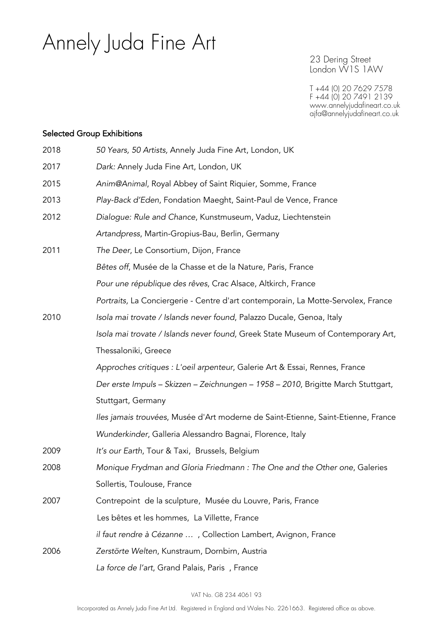23 Dering Street London W1S 1AW

T +44 (0) 20 7629 7578 F +44 (0) 20 7491 2139 www.annelyjudafineart.co.uk ajfa@annelyjudafineart.co.uk

#### Selected Group Exhibitions

| 2018 | 50 Years, 50 Artists, Annely Juda Fine Art, London, UK                            |
|------|-----------------------------------------------------------------------------------|
| 2017 | Dark: Annely Juda Fine Art, London, UK                                            |
| 2015 | Anim@Animal, Royal Abbey of Saint Riquier, Somme, France                          |
| 2013 | Play-Back d'Eden, Fondation Maeght, Saint-Paul de Vence, France                   |
| 2012 | Dialogue: Rule and Chance, Kunstmuseum, Vaduz, Liechtenstein                      |
|      | Artandpress, Martin-Gropius-Bau, Berlin, Germany                                  |
| 2011 | The Deer, Le Consortium, Dijon, France                                            |
|      | Bêtes off, Musée de la Chasse et de la Nature, Paris, France                      |
|      | Pour une république des rêves, Crac Alsace, Altkirch, France                      |
|      | Portraits, La Conciergerie - Centre d'art contemporain, La Motte-Servolex, France |
| 2010 | Isola mai trovate / Islands never found, Palazzo Ducale, Genoa, Italy             |
|      | Isola mai trovate / Islands never found, Greek State Museum of Contemporary Art,  |
|      | Thessaloniki, Greece                                                              |
|      | Approches critiques : L'oeil arpenteur, Galerie Art & Essai, Rennes, France       |
|      | Der erste Impuls - Skizzen - Zeichnungen - 1958 - 2010, Brigitte March Stuttgart, |
|      | Stuttgart, Germany                                                                |
|      | Iles jamais trouvées, Musée d'Art moderne de Saint-Etienne, Saint-Etienne, France |
|      | Wunderkinder, Galleria Alessandro Bagnai, Florence, Italy                         |
| 2009 | It's our Earth, Tour & Taxi, Brussels, Belgium                                    |
| 2008 | Monique Frydman and Gloria Friedmann : The One and the Other one, Galeries        |
|      | Sollertis, Toulouse, France                                                       |
| 2007 | Contrepoint de la sculpture, Musée du Louvre, Paris, France                       |
|      | Les bêtes et les hommes, La Villette, France                                      |
|      | il faut rendre à Cézanne , Collection Lambert, Avignon, France                    |
| 2006 | Zerstörte Welten, Kunstraum, Dornbirn, Austria                                    |
|      | La force de l'art, Grand Palais, Paris, France                                    |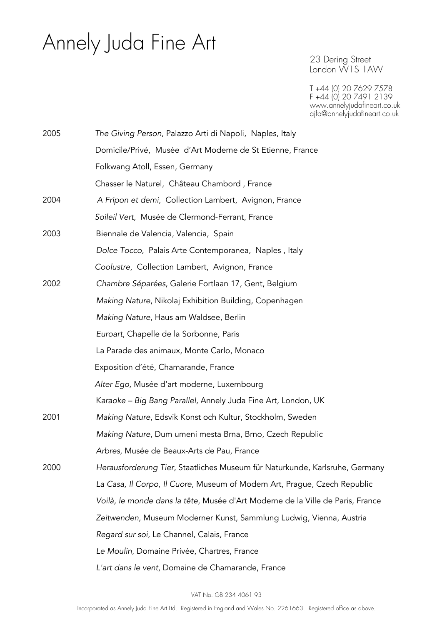23 Dering Street London W1S 1AW

| 2005 | The Giving Person, Palazzo Arti di Napoli, Naples, Italy                       |
|------|--------------------------------------------------------------------------------|
|      | Domicile/Privé, Musée d'Art Moderne de St Etienne, France                      |
|      | Folkwang Atoll, Essen, Germany                                                 |
|      | Chasser le Naturel, Château Chambord, France                                   |
| 2004 | A Fripon et demi, Collection Lambert, Avignon, France                          |
|      | Soileil Vert, Musée de Clermond-Ferrant, France                                |
| 2003 | Biennale de Valencia, Valencia, Spain                                          |
|      | Dolce Tocco, Palais Arte Contemporanea, Naples, Italy                          |
|      | Coolustre, Collection Lambert, Avignon, France                                 |
| 2002 | Chambre Séparées, Galerie Fortlaan 17, Gent, Belgium                           |
|      | Making Nature, Nikolaj Exhibition Building, Copenhagen                         |
|      | Making Nature, Haus am Waldsee, Berlin                                         |
|      | Euroart, Chapelle de la Sorbonne, Paris                                        |
|      | La Parade des animaux, Monte Carlo, Monaco                                     |
|      | Exposition d'été, Chamarande, France                                           |
|      | Alter Ego, Musée d'art moderne, Luxembourg                                     |
|      | Karaoke – Big Bang Parallel, Annely Juda Fine Art, London, UK                  |
| 2001 | Making Nature, Edsvik Konst och Kultur, Stockholm, Sweden                      |
|      | Making Nature, Dum umeni mesta Brna, Brno, Czech Republic                      |
|      | Arbres, Musée de Beaux-Arts de Pau, France                                     |
| 2000 | Herausforderung Tier, Staatliches Museum für Naturkunde, Karlsruhe, Germany    |
|      | La Casa, Il Corpo, Il Cuore, Museum of Modern Art, Prague, Czech Republic      |
|      | Voilà, le monde dans la tête, Musée d'Art Moderne de la Ville de Paris, France |
|      | Zeitwenden, Museum Moderner Kunst, Sammlung Ludwig, Vienna, Austria            |
|      | Regard sur soi, Le Channel, Calais, France                                     |
|      | Le Moulin, Domaine Privée, Chartres, France                                    |
|      | L'art dans le vent, Domaine de Chamarande, France                              |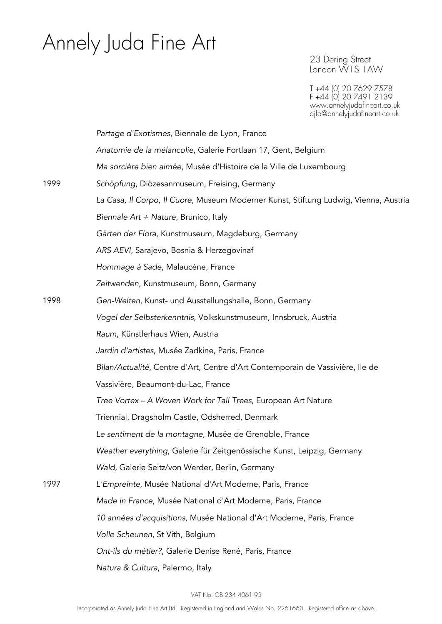23 Dering Street London W1S 1AW

|      | Partage d'Exotismes, Biennale de Lyon, France                                        |
|------|--------------------------------------------------------------------------------------|
|      | Anatomie de la mélancolie, Galerie Fortlaan 17, Gent, Belgium                        |
|      | Ma sorcière bien aimée, Musée d'Histoire de la Ville de Luxembourg                   |
| 1999 | Schöpfung, Diözesanmuseum, Freising, Germany                                         |
|      | La Casa, Il Corpo, Il Cuore, Museum Moderner Kunst, Stiftung Ludwig, Vienna, Austria |
|      | Biennale Art + Nature, Brunico, Italy                                                |
|      | Gärten der Flora, Kunstmuseum, Magdeburg, Germany                                    |
|      | ARS AEVI, Sarajevo, Bosnia & Herzegovinaf                                            |
|      | Hommage à Sade, Malaucène, France                                                    |
|      | Zeitwenden, Kunstmuseum, Bonn, Germany                                               |
| 1998 | Gen-Welten, Kunst- und Ausstellungshalle, Bonn, Germany                              |
|      | Vogel der Selbsterkenntnis, Volkskunstmuseum, Innsbruck, Austria                     |
|      | Raum, Künstlerhaus Wien, Austria                                                     |
|      | Jardin d'artistes, Musée Zadkine, Paris, France                                      |
|      | Bilan/Actualité, Centre d'Art, Centre d'Art Contemporain de Vassivière, lle de       |
|      | Vassivière, Beaumont-du-Lac, France                                                  |
|      | Tree Vortex - A Woven Work for Tall Trees, European Art Nature                       |
|      | Triennial, Dragsholm Castle, Odsherred, Denmark                                      |
|      | Le sentiment de la montagne, Musée de Grenoble, France                               |
|      | Weather everything, Galerie für Zeitgenössische Kunst, Leipzig, Germany              |
|      | Wald, Galerie Seitz/von Werder, Berlin, Germany                                      |
| 1997 | L'Empreinte, Musée National d'Art Moderne, Paris, France                             |
|      | Made in France, Musée National d'Art Moderne, Paris, France                          |
|      | 10 années d'acquisitions, Musée National d'Art Moderne, Paris, France                |
|      | Volle Scheunen, St Vith, Belgium                                                     |
|      | Ont-ils du métier?, Galerie Denise René, Paris, France                               |
|      | Natura & Cultura, Palermo, Italy                                                     |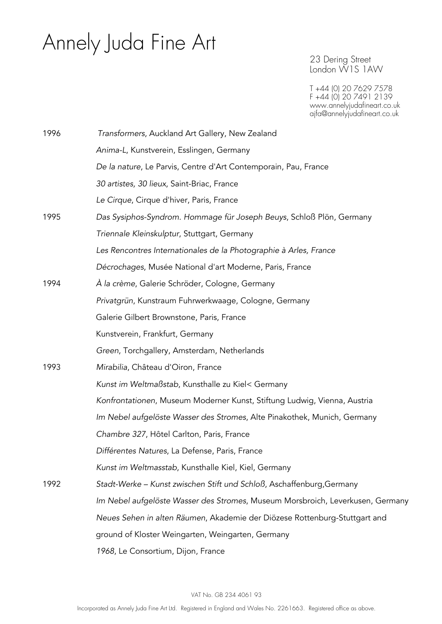23 Dering Street London W1S 1AW

| 1996 | Transformers, Auckland Art Gallery, New Zealand                                |
|------|--------------------------------------------------------------------------------|
|      | Anima-L, Kunstverein, Esslingen, Germany                                       |
|      | De la nature, Le Parvis, Centre d'Art Contemporain, Pau, France                |
|      | 30 artistes, 30 lieux, Saint-Briac, France                                     |
|      | Le Cirque, Cirque d'hiver, Paris, France                                       |
| 1995 | Das Sysiphos-Syndrom. Hommage für Joseph Beuys, Schloß Plön, Germany           |
|      | Triennale Kleinskulptur, Stuttgart, Germany                                    |
|      | Les Rencontres Internationales de la Photographie à Arles, France              |
|      | Décrochages, Musée National d'art Moderne, Paris, France                       |
| 1994 | À la crème, Galerie Schröder, Cologne, Germany                                 |
|      | Privatgrün, Kunstraum Fuhrwerkwaage, Cologne, Germany                          |
|      | Galerie Gilbert Brownstone, Paris, France                                      |
|      | Kunstverein, Frankfurt, Germany                                                |
|      | Green, Torchgallery, Amsterdam, Netherlands                                    |
| 1993 | Mirabilia, Château d'Oiron, France                                             |
|      | Kunst im Weltmaßstab, Kunsthalle zu Kiel< Germany                              |
|      | Konfrontationen, Museum Moderner Kunst, Stiftung Ludwig, Vienna, Austria       |
|      | Im Nebel aufgelöste Wasser des Stromes, Alte Pinakothek, Munich, Germany       |
|      | Chambre 327, Hôtel Carlton, Paris, France                                      |
|      | Différentes Natures, La Defense, Paris, France                                 |
|      | Kunst im Weltmasstab, Kunsthalle Kiel, Kiel, Germany                           |
| 1992 | Stadt-Werke - Kunst zwischen Stift und Schloß, Aschaffenburg, Germany          |
|      | Im Nebel aufgelöste Wasser des Stromes, Museum Morsbroich, Leverkusen, Germany |
|      | Neues Sehen in alten Räumen, Akademie der Diözese Rottenburg-Stuttgart and     |
|      | ground of Kloster Weingarten, Weingarten, Germany                              |
|      | 1968, Le Consortium, Dijon, France                                             |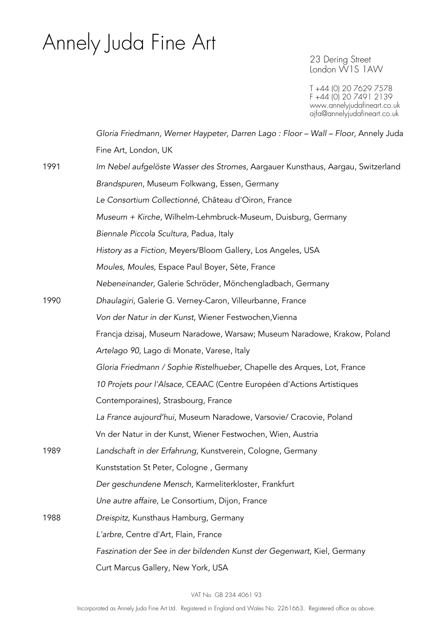23 Dering Street London W1S 1AW

|      | Gloria Friedmann, Werner Haypeter, Darren Lago : Floor - Wall - Floor, Annely Juda |
|------|------------------------------------------------------------------------------------|
|      | Fine Art, London, UK                                                               |
| 1991 | Im Nebel aufgelöste Wasser des Stromes, Aargauer Kunsthaus, Aargau, Switzerland    |
|      | Brandspuren, Museum Folkwang, Essen, Germany                                       |
|      | Le Consortium Collectionné, Château d'Oiron, France                                |
|      | Museum + Kirche, Wilhelm-Lehmbruck-Museum, Duisburg, Germany                       |
|      | Biennale Piccola Scultura, Padua, Italy                                            |
|      | History as a Fiction, Meyers/Bloom Gallery, Los Angeles, USA                       |
|      | Moules, Moules, Espace Paul Boyer, Sète, France                                    |
|      | Nebeneinander, Galerie Schröder, Mönchengladbach, Germany                          |
| 1990 | Dhaulagiri, Galerie G. Verney-Caron, Villeurbanne, France                          |
|      | Von der Natur in der Kunst, Wiener Festwochen, Vienna                              |
|      | Francja dzisaj, Museum Naradowe, Warsaw; Museum Naradowe, Krakow, Poland           |
|      | Artelago 90, Lago di Monate, Varese, Italy                                         |
|      | Gloria Friedmann / Sophie Ristelhueber, Chapelle des Arques, Lot, France           |
|      | 10 Projets pour l'Alsace, CEAAC (Centre Européen d'Actions Artistiques             |
|      | Contemporaines), Strasbourg, France                                                |
|      | La France aujourd'hui, Museum Naradowe, Varsovie/ Cracovie, Poland                 |
|      | Vn der Natur in der Kunst, Wiener Festwochen, Wien, Austria                        |
| 1989 | Landschaft in der Erfahrung, Kunstverein, Cologne, Germany                         |
|      | Kunststation St Peter, Cologne, Germany                                            |
|      | Der geschundene Mensch, Karmeliterkloster, Frankfurt                               |
|      | Une autre affaire, Le Consortium, Dijon, France                                    |
| 1988 | Dreispitz, Kunsthaus Hamburg, Germany                                              |
|      | L'arbre, Centre d'Art, Flain, France                                               |
|      | Faszination der See in der bildenden Kunst der Gegenwart, Kiel, Germany            |
|      | Curt Marcus Gallery, New York, USA                                                 |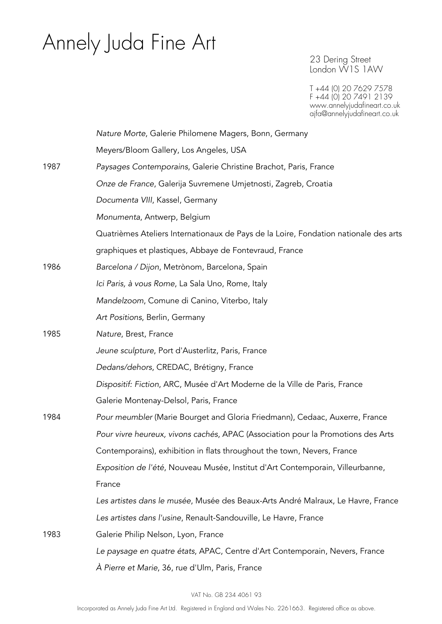23 Dering Street London W1S 1AW

|      | Nature Morte, Galerie Philomene Magers, Bonn, Germany                                |
|------|--------------------------------------------------------------------------------------|
|      | Meyers/Bloom Gallery, Los Angeles, USA                                               |
| 1987 | Paysages Contemporains, Galerie Christine Brachot, Paris, France                     |
|      | Onze de France, Galerija Suvremene Umjetnosti, Zagreb, Croatia                       |
|      | Documenta VIII, Kassel, Germany                                                      |
|      | Monumenta, Antwerp, Belgium                                                          |
|      | Quatrièmes Ateliers Internationaux de Pays de la Loire, Fondation nationale des arts |
|      | graphiques et plastiques, Abbaye de Fontevraud, France                               |
| 1986 | Barcelona / Dijon, Metrònom, Barcelona, Spain                                        |
|      | Ici Paris, à vous Rome, La Sala Uno, Rome, Italy                                     |
|      | Mandelzoom, Comune di Canino, Viterbo, Italy                                         |
|      | Art Positions, Berlin, Germany                                                       |
| 1985 | Nature, Brest, France                                                                |
|      | Jeune sculpture, Port d'Austerlitz, Paris, France                                    |
|      | Dedans/dehors, CREDAC, Brétigny, France                                              |
|      | Dispositif: Fiction, ARC, Musée d'Art Moderne de la Ville de Paris, France           |
|      | Galerie Montenay-Delsol, Paris, France                                               |
| 1984 | Pour meumbler (Marie Bourget and Gloria Friedmann), Cedaac, Auxerre, France          |
|      | Pour vivre heureux, vivons cachés, APAC (Association pour la Promotions des Arts     |
|      | Contemporains), exhibition in flats throughout the town, Nevers, France              |
|      | Exposition de l'été, Nouveau Musée, Institut d'Art Contemporain, Villeurbanne,       |
|      | France                                                                               |
|      | Les artistes dans le musée, Musée des Beaux-Arts André Malraux, Le Havre, France     |
|      | Les artistes dans l'usine, Renault-Sandouville, Le Havre, France                     |
| 1983 | Galerie Philip Nelson, Lyon, France                                                  |
|      | Le paysage en quatre états, APAC, Centre d'Art Contemporain, Nevers, France          |
|      | À Pierre et Marie, 36, rue d'Ulm, Paris, France                                      |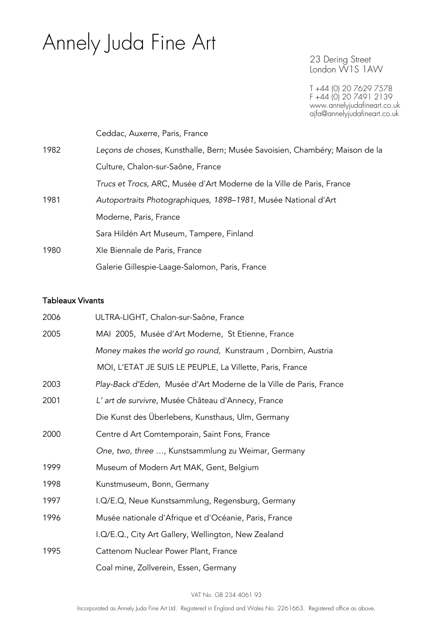23 Dering Street London W1S 1AW

T +44 (0) 20 7629 7578 F +44 (0) 20 7491 2139 www.annelyjudafineart.co.uk ajfa@annelyjudafineart.co.uk

|      | Ceddac, Auxerre, Paris, France                                              |
|------|-----------------------------------------------------------------------------|
| 1982 | Leçons de choses, Kunsthalle, Bern; Musée Savoisien, Chambéry; Maison de la |
|      | Culture, Chalon-sur-Saône, France                                           |
|      | Trucs et Trocs, ARC, Musée d'Art Moderne de la Ville de Paris, France       |
| 1981 | Autoportraits Photographiques, 1898-1981, Musée National d'Art              |
|      | Moderne, Paris, France                                                      |
|      | Sara Hildén Art Museum, Tampere, Finland                                    |
| 1980 | XIe Biennale de Paris, France                                               |
|      | Galerie Gillespie-Laage-Salomon, Paris, France                              |

#### Tableaux Vivants

| 2006 | ULTRA-LIGHT, Chalon-sur-Saône, France                              |
|------|--------------------------------------------------------------------|
| 2005 | MAI 2005, Musée d'Art Moderne, St Etienne, France                  |
|      | Money makes the world go round, Kunstraum, Dornbirn, Austria       |
|      | MOI, L'ETAT JE SUIS LE PEUPLE, La Villette, Paris, France          |
| 2003 | Play-Back d'Eden, Musée d'Art Moderne de la Ville de Paris, France |
| 2001 | L' art de survivre, Musée Château d'Annecy, France                 |
|      | Die Kunst des Überlebens, Kunsthaus, Ulm, Germany                  |
| 2000 | Centre d Art Comtemporain, Saint Fons, France                      |
|      | One, two, three , Kunstsammlung zu Weimar, Germany                 |
| 1999 | Museum of Modern Art MAK, Gent, Belgium                            |
| 1998 | Kunstmuseum, Bonn, Germany                                         |
| 1997 | I.Q/E.Q, Neue Kunstsammlung, Regensburg, Germany                   |
| 1996 | Musée nationale d'Afrique et d'Océanie, Paris, France              |
|      | I.Q/E.Q., City Art Gallery, Wellington, New Zealand                |
| 1995 | Cattenom Nuclear Power Plant, France                               |
|      | Coal mine, Zollverein, Essen, Germany                              |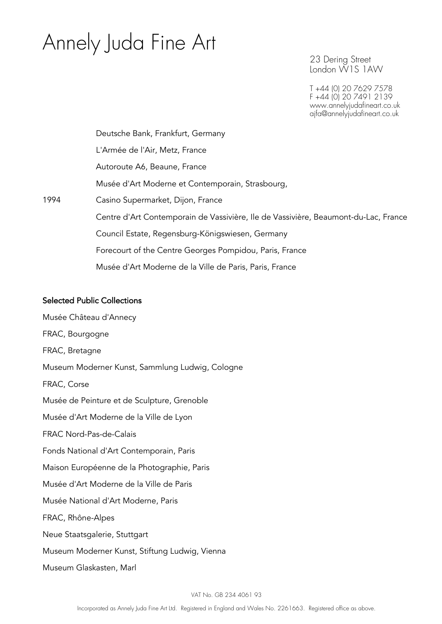23 Dering Street London W1S 1AW

T +44 (0) 20 7629 7578 F +44 (0) 20 7491 2139 www.annelyjudafineart.co.uk ajfa@annelyjudafineart.co.uk

Deutsche Bank, Frankfurt, Germany L'Armée de l'Air, Metz, France Autoroute A6, Beaune, France Musée d'Art Moderne et Contemporain, Strasbourg, 1994 Casino Supermarket, Dijon, France Centre d'Art Contemporain de Vassivière, Ile de Vassivière, Beaumont-du-Lac, France Council Estate, Regensburg-Königswiesen, Germany Forecourt of the Centre Georges Pompidou, Paris, France Musée d'Art Moderne de la Ville de Paris, Paris, France

#### Selected Public Collections

Musée Château d'Annecy FRAC, Bourgogne FRAC, Bretagne Museum Moderner Kunst, Sammlung Ludwig, Cologne FRAC, Corse Musée de Peinture et de Sculpture, Grenoble Musée d'Art Moderne de la Ville de Lyon FRAC Nord-Pas-de-Calais Fonds National d'Art Contemporain, Paris Maison Européenne de la Photographie, Paris Musée d'Art Moderne de la Ville de Paris Musée National d'Art Moderne, Paris FRAC, Rhône-Alpes Neue Staatsgalerie, Stuttgart Museum Moderner Kunst, Stiftung Ludwig, Vienna Museum Glaskasten, Marl